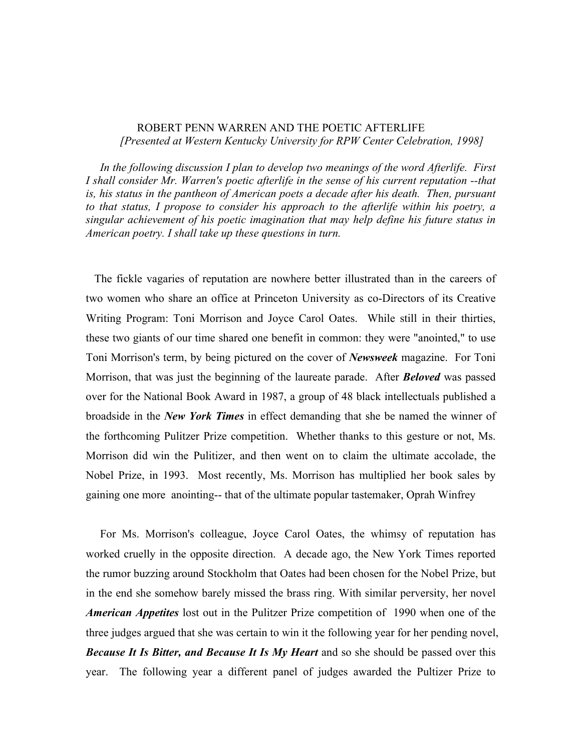## ROBERT PENN WARREN AND THE POETIC AFTERLIFE *[Presented at Western Kentucky University for RPW Center Celebration, 1998]*

 *In the following discussion I plan to develop two meanings of the word Afterlife. First I shall consider Mr. Warren's poetic afterlife in the sense of his current reputation --that*  is, his status in the pantheon of American poets a decade after his death. Then, pursuant *to that status, I propose to consider his approach to the afterlife within his poetry, a singular achievement of his poetic imagination that may help define his future status in American poetry. I shall take up these questions in turn.*

 The fickle vagaries of reputation are nowhere better illustrated than in the careers of two women who share an office at Princeton University as co-Directors of its Creative Writing Program: Toni Morrison and Joyce Carol Oates. While still in their thirties, these two giants of our time shared one benefit in common: they were "anointed," to use Toni Morrison's term, by being pictured on the cover of *Newsweek* magazine. For Toni Morrison, that was just the beginning of the laureate parade. After *Beloved* was passed over for the National Book Award in 1987, a group of 48 black intellectuals published a broadside in the *New York Times* in effect demanding that she be named the winner of the forthcoming Pulitzer Prize competition. Whether thanks to this gesture or not, Ms. Morrison did win the Pulitizer, and then went on to claim the ultimate accolade, the Nobel Prize, in 1993. Most recently, Ms. Morrison has multiplied her book sales by gaining one more anointing-- that of the ultimate popular tastemaker, Oprah Winfrey

 For Ms. Morrison's colleague, Joyce Carol Oates, the whimsy of reputation has worked cruelly in the opposite direction. A decade ago, the New York Times reported the rumor buzzing around Stockholm that Oates had been chosen for the Nobel Prize, but in the end she somehow barely missed the brass ring. With similar perversity, her novel *American Appetites* lost out in the Pulitzer Prize competition of 1990 when one of the three judges argued that she was certain to win it the following year for her pending novel, *Because It Is Bitter, and Because It Is My Heart* and so she should be passed over this year. The following year a different panel of judges awarded the Pultizer Prize to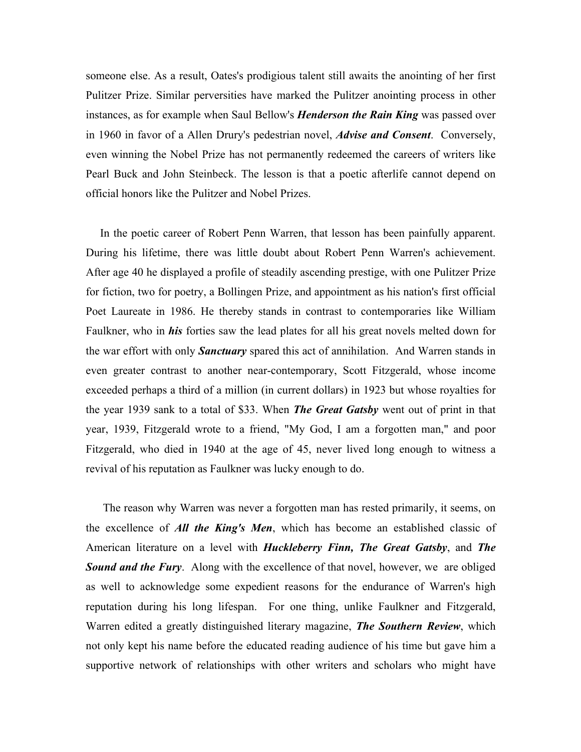someone else. As a result, Oates's prodigious talent still awaits the anointing of her first Pulitzer Prize. Similar perversities have marked the Pulitzer anointing process in other instances, as for example when Saul Bellow's *Henderson the Rain King* was passed over in 1960 in favor of a Allen Drury's pedestrian novel, *Advise and Consent*. Conversely, even winning the Nobel Prize has not permanently redeemed the careers of writers like Pearl Buck and John Steinbeck. The lesson is that a poetic afterlife cannot depend on official honors like the Pulitzer and Nobel Prizes.

 In the poetic career of Robert Penn Warren, that lesson has been painfully apparent. During his lifetime, there was little doubt about Robert Penn Warren's achievement. After age 40 he displayed a profile of steadily ascending prestige, with one Pulitzer Prize for fiction, two for poetry, a Bollingen Prize, and appointment as his nation's first official Poet Laureate in 1986. He thereby stands in contrast to contemporaries like William Faulkner, who in *his* forties saw the lead plates for all his great novels melted down for the war effort with only *Sanctuary* spared this act of annihilation. And Warren stands in even greater contrast to another near-contemporary, Scott Fitzgerald, whose income exceeded perhaps a third of a million (in current dollars) in 1923 but whose royalties for the year 1939 sank to a total of \$33. When *The Great Gatsby* went out of print in that year, 1939, Fitzgerald wrote to a friend, "My God, I am a forgotten man," and poor Fitzgerald, who died in 1940 at the age of 45, never lived long enough to witness a revival of his reputation as Faulkner was lucky enough to do.

 The reason why Warren was never a forgotten man has rested primarily, it seems, on the excellence of *All the King's Men*, which has become an established classic of American literature on a level with *Huckleberry Finn, The Great Gatsby*, and *The*  **Sound and the Fury.** Along with the excellence of that novel, however, we are obliged as well to acknowledge some expedient reasons for the endurance of Warren's high reputation during his long lifespan. For one thing, unlike Faulkner and Fitzgerald, Warren edited a greatly distinguished literary magazine, *The Southern Review*, which not only kept his name before the educated reading audience of his time but gave him a supportive network of relationships with other writers and scholars who might have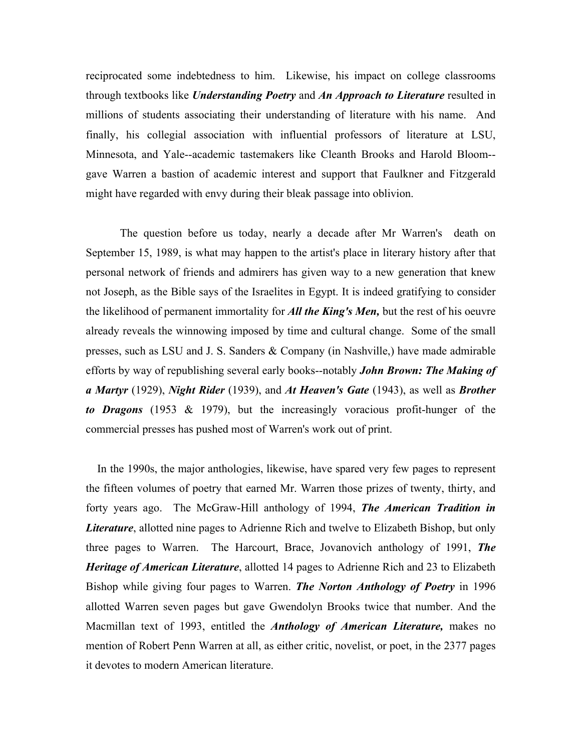reciprocated some indebtedness to him. Likewise, his impact on college classrooms through textbooks like *Understanding Poetry* and *An Approach to Literature* resulted in millions of students associating their understanding of literature with his name. And finally, his collegial association with influential professors of literature at LSU, Minnesota, and Yale--academic tastemakers like Cleanth Brooks and Harold Bloom- gave Warren a bastion of academic interest and support that Faulkner and Fitzgerald might have regarded with envy during their bleak passage into oblivion.

The question before us today, nearly a decade after Mr Warren's death on September 15, 1989, is what may happen to the artist's place in literary history after that personal network of friends and admirers has given way to a new generation that knew not Joseph, as the Bible says of the Israelites in Egypt. It is indeed gratifying to consider the likelihood of permanent immortality for *All the King's Men,* but the rest of his oeuvre already reveals the winnowing imposed by time and cultural change. Some of the small presses, such as LSU and J. S. Sanders & Company (in Nashville,) have made admirable efforts by way of republishing several early books--notably *John Brown: The Making of a Martyr* (1929), *Night Rider* (1939), and *At Heaven's Gate* (1943), as well as *Brother to Dragons* (1953 & 1979), but the increasingly voracious profit-hunger of the commercial presses has pushed most of Warren's work out of print.

 In the 1990s, the major anthologies, likewise, have spared very few pages to represent the fifteen volumes of poetry that earned Mr. Warren those prizes of twenty, thirty, and forty years ago. The McGraw-Hill anthology of 1994, *The American Tradition in Literature*, allotted nine pages to Adrienne Rich and twelve to Elizabeth Bishop, but only three pages to Warren. The Harcourt, Brace, Jovanovich anthology of 1991, *The Heritage of American Literature*, allotted 14 pages to Adrienne Rich and 23 to Elizabeth Bishop while giving four pages to Warren. *The Norton Anthology of Poetry* in 1996 allotted Warren seven pages but gave Gwendolyn Brooks twice that number. And the Macmillan text of 1993, entitled the *Anthology of American Literature,* makes no mention of Robert Penn Warren at all, as either critic, novelist, or poet, in the 2377 pages it devotes to modern American literature.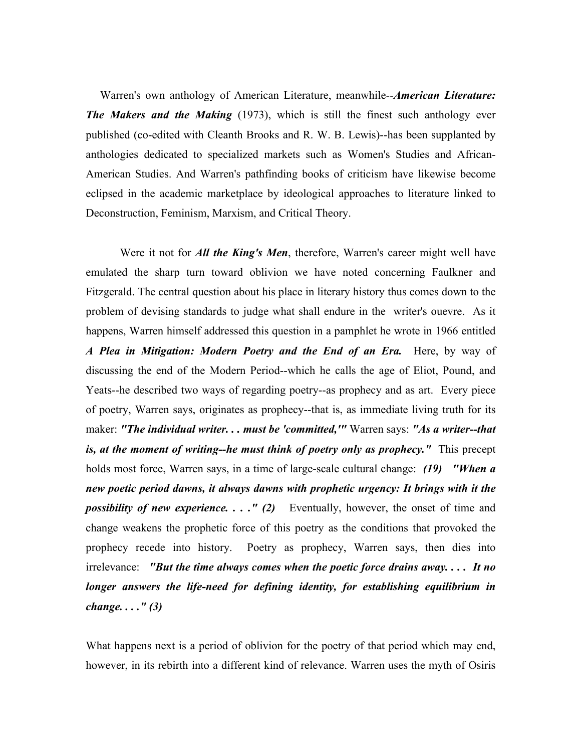Warren's own anthology of American Literature, meanwhile--*American Literature: The Makers and the Making* (1973), which is still the finest such anthology ever published (co-edited with Cleanth Brooks and R. W. B. Lewis)--has been supplanted by anthologies dedicated to specialized markets such as Women's Studies and African-American Studies. And Warren's pathfinding books of criticism have likewise become eclipsed in the academic marketplace by ideological approaches to literature linked to Deconstruction, Feminism, Marxism, and Critical Theory.

Were it not for *All the King's Men*, therefore, Warren's career might well have emulated the sharp turn toward oblivion we have noted concerning Faulkner and Fitzgerald. The central question about his place in literary history thus comes down to the problem of devising standards to judge what shall endure in the writer's ouevre. As it happens, Warren himself addressed this question in a pamphlet he wrote in 1966 entitled *A Plea in Mitigation: Modern Poetry and the End of an Era.* Here, by way of discussing the end of the Modern Period--which he calls the age of Eliot, Pound, and Yeats--he described two ways of regarding poetry--as prophecy and as art. Every piece of poetry, Warren says, originates as prophecy--that is, as immediate living truth for its maker: *"The individual writer. . . must be 'committed,'"* Warren says: *"As a writer--that is, at the moment of writing--he must think of poetry only as prophecy.*" This precept holds most force, Warren says, in a time of large-scale cultural change: *(19) "When a new poetic period dawns, it always dawns with prophetic urgency: It brings with it the possibility of new experience...." (2)* Eventually, however, the onset of time and change weakens the prophetic force of this poetry as the conditions that provoked the prophecy recede into history. Poetry as prophecy, Warren says, then dies into irrelevance: *"But the time always comes when the poetic force drains away. . . . It no longer answers the life-need for defining identity, for establishing equilibrium in change. . . ." (3)*

What happens next is a period of oblivion for the poetry of that period which may end, however, in its rebirth into a different kind of relevance. Warren uses the myth of Osiris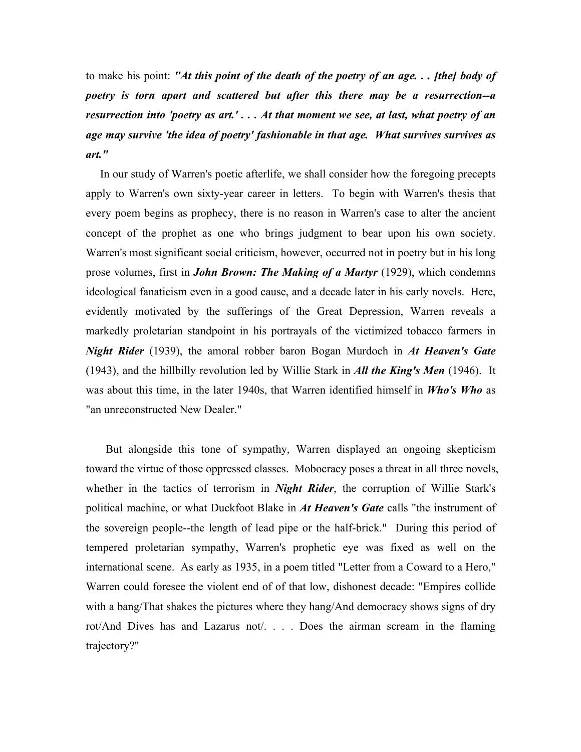to make his point: *"At this point of the death of the poetry of an age. . . [the] body of poetry is torn apart and scattered but after this there may be a resurrection--a resurrection into 'poetry as art.' . . . At that moment we see, at last, what poetry of an age may survive 'the idea of poetry' fashionable in that age. What survives survives as art."*

 In our study of Warren's poetic afterlife, we shall consider how the foregoing precepts apply to Warren's own sixty-year career in letters. To begin with Warren's thesis that every poem begins as prophecy, there is no reason in Warren's case to alter the ancient concept of the prophet as one who brings judgment to bear upon his own society. Warren's most significant social criticism, however, occurred not in poetry but in his long prose volumes, first in *John Brown: The Making of a Martyr* (1929), which condemns ideological fanaticism even in a good cause, and a decade later in his early novels. Here, evidently motivated by the sufferings of the Great Depression, Warren reveals a markedly proletarian standpoint in his portrayals of the victimized tobacco farmers in *Night Rider* (1939), the amoral robber baron Bogan Murdoch in *At Heaven's Gate*  (1943), and the hillbilly revolution led by Willie Stark in *All the King's Men* (1946). It was about this time, in the later 1940s, that Warren identified himself in *Who's Who* as "an unreconstructed New Dealer."

 But alongside this tone of sympathy, Warren displayed an ongoing skepticism toward the virtue of those oppressed classes. Mobocracy poses a threat in all three novels, whether in the tactics of terrorism in *Night Rider*, the corruption of Willie Stark's political machine, or what Duckfoot Blake in *At Heaven's Gate* calls "the instrument of the sovereign people--the length of lead pipe or the half-brick." During this period of tempered proletarian sympathy, Warren's prophetic eye was fixed as well on the international scene. As early as 1935, in a poem titled "Letter from a Coward to a Hero," Warren could foresee the violent end of of that low, dishonest decade: "Empires collide with a bang/That shakes the pictures where they hang/And democracy shows signs of dry rot/And Dives has and Lazarus not/. . . . Does the airman scream in the flaming trajectory?"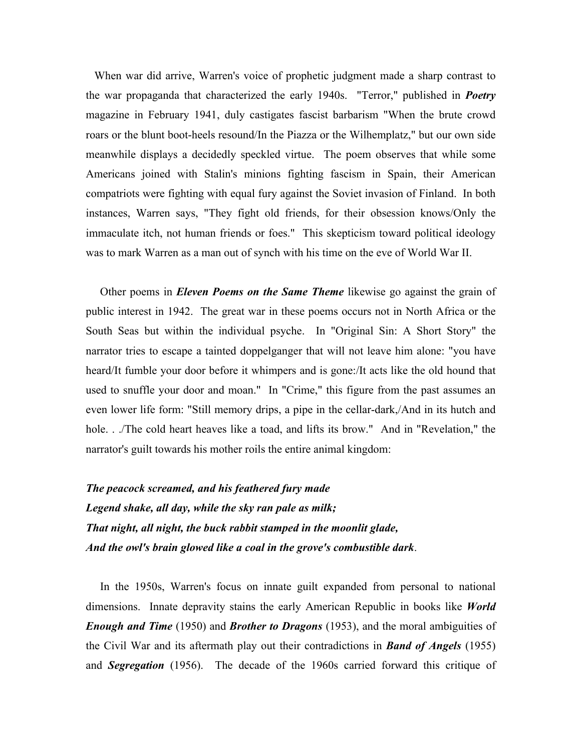When war did arrive, Warren's voice of prophetic judgment made a sharp contrast to the war propaganda that characterized the early 1940s. "Terror," published in *Poetry* magazine in February 1941, duly castigates fascist barbarism "When the brute crowd roars or the blunt boot-heels resound/In the Piazza or the Wilhemplatz," but our own side meanwhile displays a decidedly speckled virtue. The poem observes that while some Americans joined with Stalin's minions fighting fascism in Spain, their American compatriots were fighting with equal fury against the Soviet invasion of Finland. In both instances, Warren says, "They fight old friends, for their obsession knows/Only the immaculate itch, not human friends or foes." This skepticism toward political ideology was to mark Warren as a man out of synch with his time on the eve of World War II.

 Other poems in *Eleven Poems on the Same Theme* likewise go against the grain of public interest in 1942. The great war in these poems occurs not in North Africa or the South Seas but within the individual psyche. In "Original Sin: A Short Story" the narrator tries to escape a tainted doppelganger that will not leave him alone: "you have heard/It fumble your door before it whimpers and is gone:/It acts like the old hound that used to snuffle your door and moan." In "Crime," this figure from the past assumes an even lower life form: "Still memory drips, a pipe in the cellar-dark,/And in its hutch and hole. . ./The cold heart heaves like a toad, and lifts its brow." And in "Revelation," the narrator's guilt towards his mother roils the entire animal kingdom:

*The peacock screamed, and his feathered fury made Legend shake, all day, while the sky ran pale as milk; That night, all night, the buck rabbit stamped in the moonlit glade, And the owl's brain glowed like a coal in the grove's combustible dark*.

 In the 1950s, Warren's focus on innate guilt expanded from personal to national dimensions. Innate depravity stains the early American Republic in books like *World Enough and Time* (1950) and *Brother to Dragons* (1953), and the moral ambiguities of the Civil War and its aftermath play out their contradictions in *Band of Angels* (1955) and *Segregation* (1956). The decade of the 1960s carried forward this critique of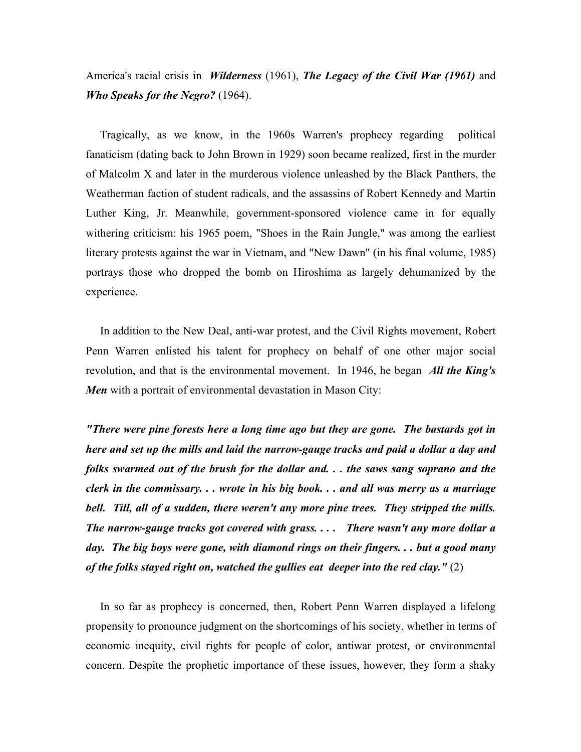## America's racial crisis in *Wilderness* (1961), *The Legacy of the Civil War (1961)* and *Who Speaks for the Negro?* (1964).

 Tragically, as we know, in the 1960s Warren's prophecy regarding political fanaticism (dating back to John Brown in 1929) soon became realized, first in the murder of Malcolm X and later in the murderous violence unleashed by the Black Panthers, the Weatherman faction of student radicals, and the assassins of Robert Kennedy and Martin Luther King, Jr. Meanwhile, government-sponsored violence came in for equally withering criticism: his 1965 poem, "Shoes in the Rain Jungle," was among the earliest literary protests against the war in Vietnam, and "New Dawn" (in his final volume, 1985) portrays those who dropped the bomb on Hiroshima as largely dehumanized by the experience.

 In addition to the New Deal, anti-war protest, and the Civil Rights movement, Robert Penn Warren enlisted his talent for prophecy on behalf of one other major social revolution, and that is the environmental movement. In 1946, he began *All the King's Men* with a portrait of environmental devastation in Mason City:

*"There were pine forests here a long time ago but they are gone. The bastards got in here and set up the mills and laid the narrow-gauge tracks and paid a dollar a day and folks swarmed out of the brush for the dollar and. . . the saws sang soprano and the clerk in the commissary. . . wrote in his big book. . . and all was merry as a marriage bell. Till, all of a sudden, there weren't any more pine trees. They stripped the mills. The narrow-gauge tracks got covered with grass. . . . There wasn't any more dollar a day. The big boys were gone, with diamond rings on their fingers. . . but a good many of the folks stayed right on, watched the gullies eat deeper into the red clay."* (2)

 In so far as prophecy is concerned, then, Robert Penn Warren displayed a lifelong propensity to pronounce judgment on the shortcomings of his society, whether in terms of economic inequity, civil rights for people of color, antiwar protest, or environmental concern. Despite the prophetic importance of these issues, however, they form a shaky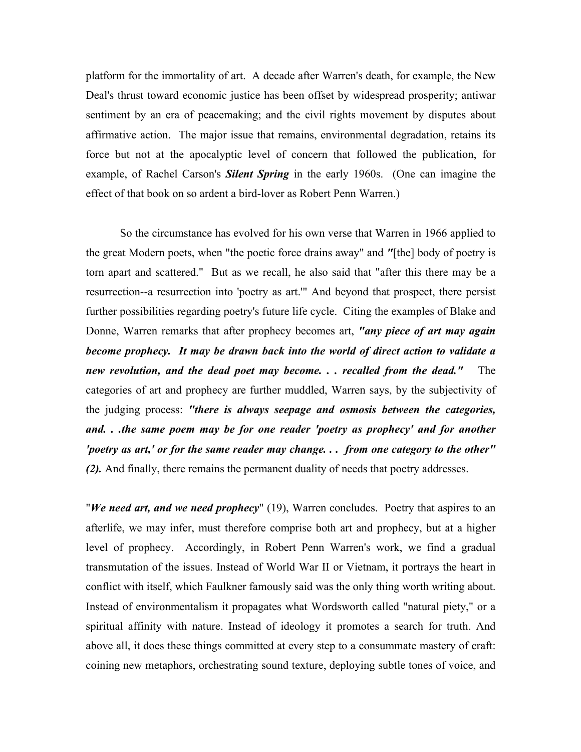platform for the immortality of art. A decade after Warren's death, for example, the New Deal's thrust toward economic justice has been offset by widespread prosperity; antiwar sentiment by an era of peacemaking; and the civil rights movement by disputes about affirmative action. The major issue that remains, environmental degradation, retains its force but not at the apocalyptic level of concern that followed the publication, for example, of Rachel Carson's *Silent Spring* in the early 1960s. (One can imagine the effect of that book on so ardent a bird-lover as Robert Penn Warren.)

So the circumstance has evolved for his own verse that Warren in 1966 applied to the great Modern poets, when "the poetic force drains away" and *"*[the] body of poetry is torn apart and scattered." But as we recall, he also said that "after this there may be a resurrection--a resurrection into 'poetry as art.'" And beyond that prospect, there persist further possibilities regarding poetry's future life cycle. Citing the examples of Blake and Donne, Warren remarks that after prophecy becomes art, *"any piece of art may again become prophecy. It may be drawn back into the world of direct action to validate a new revolution, and the dead poet may become. . . recalled from the dead."* The categories of art and prophecy are further muddled, Warren says, by the subjectivity of the judging process: *"there is always seepage and osmosis between the categories, and. . .the same poem may be for one reader 'poetry as prophecy' and for another 'poetry as art,' or for the same reader may change. . . from one category to the other" (2).* And finally, there remains the permanent duality of needs that poetry addresses.

"*We need art, and we need prophecy*" (19), Warren concludes. Poetry that aspires to an afterlife, we may infer, must therefore comprise both art and prophecy, but at a higher level of prophecy. Accordingly, in Robert Penn Warren's work, we find a gradual transmutation of the issues. Instead of World War II or Vietnam, it portrays the heart in conflict with itself, which Faulkner famously said was the only thing worth writing about. Instead of environmentalism it propagates what Wordsworth called "natural piety," or a spiritual affinity with nature. Instead of ideology it promotes a search for truth. And above all, it does these things committed at every step to a consummate mastery of craft: coining new metaphors, orchestrating sound texture, deploying subtle tones of voice, and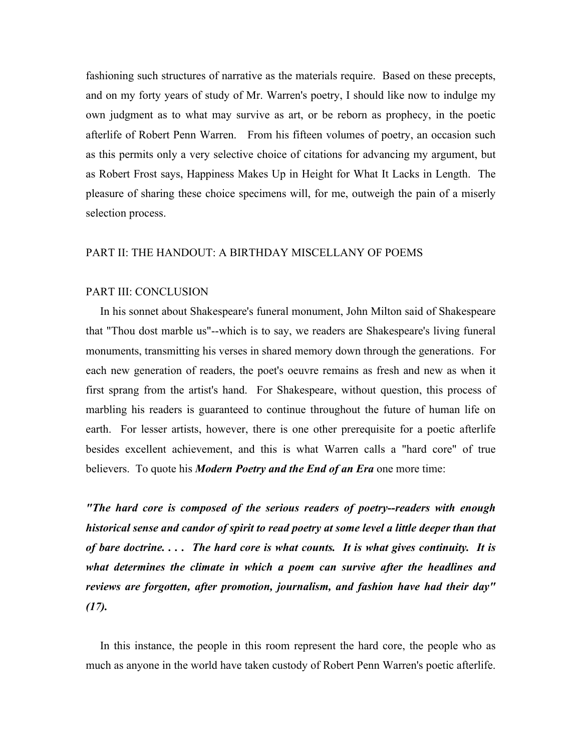fashioning such structures of narrative as the materials require. Based on these precepts, and on my forty years of study of Mr. Warren's poetry, I should like now to indulge my own judgment as to what may survive as art, or be reborn as prophecy, in the poetic afterlife of Robert Penn Warren. From his fifteen volumes of poetry, an occasion such as this permits only a very selective choice of citations for advancing my argument, but as Robert Frost says, Happiness Makes Up in Height for What It Lacks in Length. The pleasure of sharing these choice specimens will, for me, outweigh the pain of a miserly selection process.

## PART II: THE HANDOUT: A BIRTHDAY MISCELLANY OF POEMS

## PART III: CONCLUSION

 In his sonnet about Shakespeare's funeral monument, John Milton said of Shakespeare that "Thou dost marble us"--which is to say, we readers are Shakespeare's living funeral monuments, transmitting his verses in shared memory down through the generations. For each new generation of readers, the poet's oeuvre remains as fresh and new as when it first sprang from the artist's hand. For Shakespeare, without question, this process of marbling his readers is guaranteed to continue throughout the future of human life on earth. For lesser artists, however, there is one other prerequisite for a poetic afterlife besides excellent achievement, and this is what Warren calls a "hard core" of true believers. To quote his *Modern Poetry and the End of an Era* one more time:

*"The hard core is composed of the serious readers of poetry--readers with enough historical sense and candor of spirit to read poetry at some level a little deeper than that of bare doctrine. . . . The hard core is what counts. It is what gives continuity. It is what determines the climate in which a poem can survive after the headlines and reviews are forgotten, after promotion, journalism, and fashion have had their day" (17).*

 In this instance, the people in this room represent the hard core, the people who as much as anyone in the world have taken custody of Robert Penn Warren's poetic afterlife.